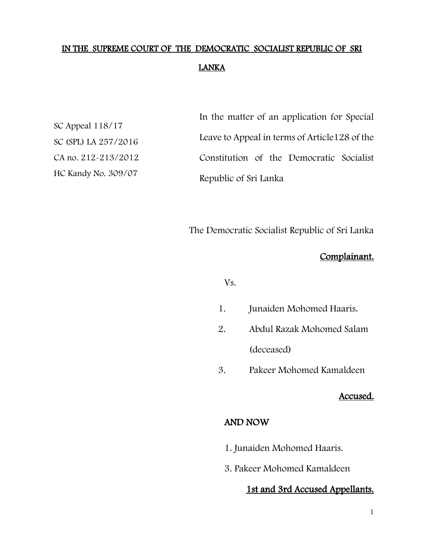# IN THE SUPREME COURT OF THE DEMOCRATIC SOCIALIST REPUBLIC OF SRI LANKA

SC Appeal 118/17 SC (SPL) LA 257/2016 CA no. 212-213/2012 HC Kandy No. 309/07

In the matter of an application for Special Leave to Appeal in terms of Article128 of the Constitution of the Democratic Socialist Republic of Sri Lanka

The Democratic Socialist Republic of Sri Lanka

## Complainant.

Vs.

- 1. Junaiden Mohomed Haaris.
- 2. Abdul Razak Mohomed Salam (deceased)
- 3. Pakeer Mohomed Kamaldeen

#### Accused.

## AND NOW

- 1. Junaiden Mohomed Haaris.
- 3. Pakeer Mohomed Kamaldeen

## 1st and 3rd Accused Appellants.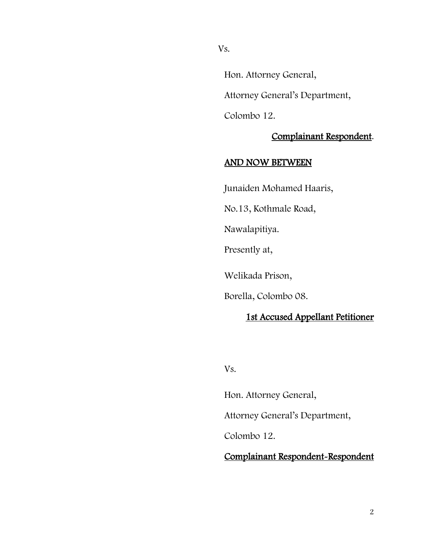Vs.

Hon. Attorney General,

Attorney General's Department,

Colombo 12.

#### Complainant Respondent.

## AND NOW BETWEEN

Junaiden Mohamed Haaris,

No.13, Kothmale Road,

Nawalapitiya.

Presently at,

Welikada Prison,

Borella, Colombo 08.

## 1st Accused Appellant Petitioner

Vs.

Hon. Attorney General,

Attorney General's Department,

Colombo 12.

## Complainant Respondent-Respondent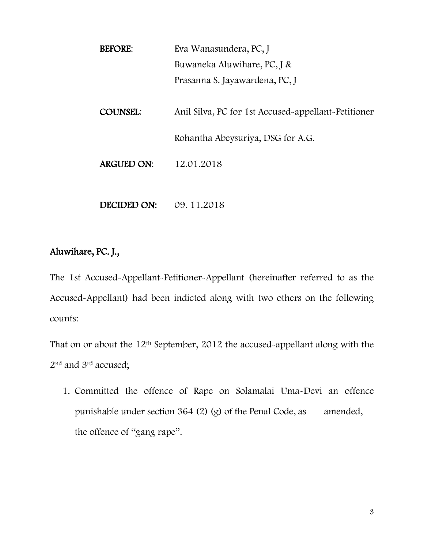| <b>BEFORE:</b>    | Eva Wanasundera, PC, J                              |
|-------------------|-----------------------------------------------------|
|                   | Buwaneka Aluwihare, PC, J &                         |
|                   | Prasanna S. Jayawardena, PC, J                      |
| <b>COUNSEL:</b>   | Anil Silva, PC for 1st Accused-appellant-Petitioner |
|                   | Rohantha Abeysuriya, DSG for A.G.                   |
| <b>ARGUED ON:</b> | 12.01.2018                                          |
|                   |                                                     |

## Aluwihare, PC. J.,

The 1st Accused-Appellant-Petitioner-Appellant (hereinafter referred to as the Accused-Appellant) had been indicted along with two others on the following counts:

DECIDED ON: 09. 11.2018

That on or about the 12<sup>th</sup> September, 2012 the accused-appellant along with the 2nd and 3rd accused;

1. Committed the offence of Rape on Solamalai Uma-Devi an offence punishable under section 364 (2) (g) of the Penal Code, as amended, the offence of "gang rape".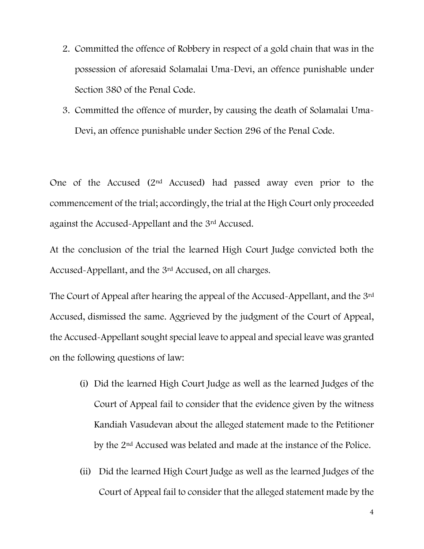- 2. Committed the offence of Robbery in respect of a gold chain that was in the possession of aforesaid Solamalai Uma-Devi, an offence punishable under Section 380 of the Penal Code.
- 3. Committed the offence of murder, by causing the death of Solamalai Uma-Devi, an offence punishable under Section 296 of the Penal Code.

One of the Accused (2nd Accused) had passed away even prior to the commencement of the trial; accordingly, the trial at the High Court only proceeded against the Accused-Appellant and the 3rd Accused.

At the conclusion of the trial the learned High Court Judge convicted both the Accused-Appellant, and the 3rd Accused, on all charges.

The Court of Appeal after hearing the appeal of the Accused-Appellant, and the 3rd Accused, dismissed the same. Aggrieved by the judgment of the Court of Appeal, the Accused-Appellant sought special leave to appeal and special leave was granted on the following questions of law:

- (i) Did the learned High Court Judge as well as the learned Judges of the Court of Appeal fail to consider that the evidence given by the witness Kandiah Vasudevan about the alleged statement made to the Petitioner by the 2nd Accused was belated and made at the instance of the Police.
- (ii) Did the learned High Court Judge as well as the learned Judges of the Court of Appeal fail to consider that the alleged statement made by the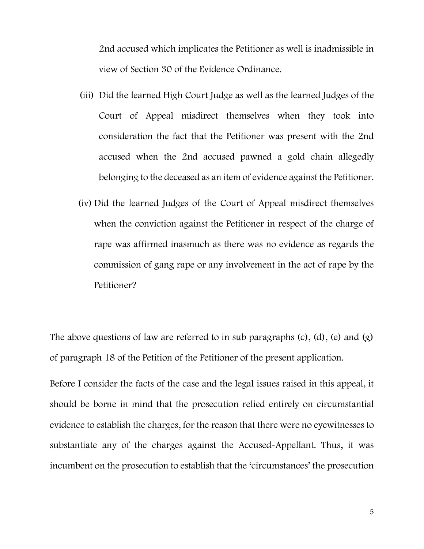2nd accused which implicates the Petitioner as well is inadmissible in view of Section 30 of the Evidence Ordinance.

- (iii) Did the learned High Court Judge as well as the learned Judges of the Court of Appeal misdirect themselves when they took into consideration the fact that the Petitioner was present with the 2nd accused when the 2nd accused pawned a gold chain allegedly belonging to the deceased as an item of evidence against the Petitioner.
- (iv) Did the learned Judges of the Court of Appeal misdirect themselves when the conviction against the Petitioner in respect of the charge of rape was affirmed inasmuch as there was no evidence as regards the commission of gang rape or any involvement in the act of rape by the Petitioner?

The above questions of law are referred to in sub paragraphs  $(c)$ ,  $(d)$ ,  $(e)$  and  $(g)$ of paragraph 18 of the Petition of the Petitioner of the present application.

Before I consider the facts of the case and the legal issues raised in this appeal, it should be borne in mind that the prosecution relied entirely on circumstantial evidence to establish the charges, for the reason that there were no eyewitnesses to substantiate any of the charges against the Accused-Appellant. Thus, it was incumbent on the prosecution to establish that the 'circumstances' the prosecution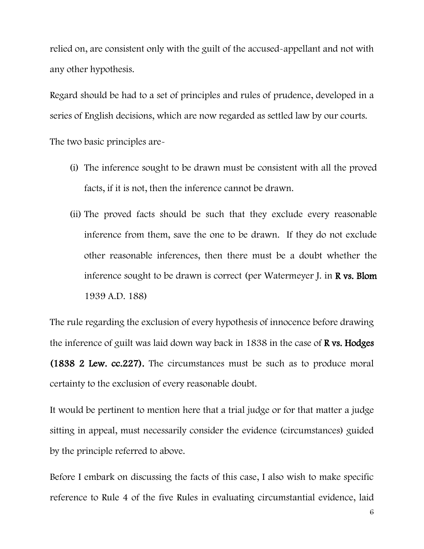relied on, are consistent only with the guilt of the accused-appellant and not with any other hypothesis.

Regard should be had to a set of principles and rules of prudence, developed in a series of English decisions, which are now regarded as settled law by our courts.

The two basic principles are-

- (i) The inference sought to be drawn must be consistent with all the proved facts, if it is not, then the inference cannot be drawn.
- (ii) The proved facts should be such that they exclude every reasonable inference from them, save the one to be drawn. If they do not exclude other reasonable inferences, then there must be a doubt whether the inference sought to be drawn is correct (per Watermeyer J. in  $\bf{R}$  vs. Blom 1939 A.D. 188)

The rule regarding the exclusion of every hypothesis of innocence before drawing the inference of guilt was laid down way back in 1838 in the case of **R** vs. Hodges (1838 2 Lew. cc.227). The circumstances must be such as to produce moral certainty to the exclusion of every reasonable doubt.

It would be pertinent to mention here that a trial judge or for that matter a judge sitting in appeal, must necessarily consider the evidence (circumstances) guided by the principle referred to above.

Before I embark on discussing the facts of this case, I also wish to make specific reference to Rule 4 of the five Rules in evaluating circumstantial evidence, laid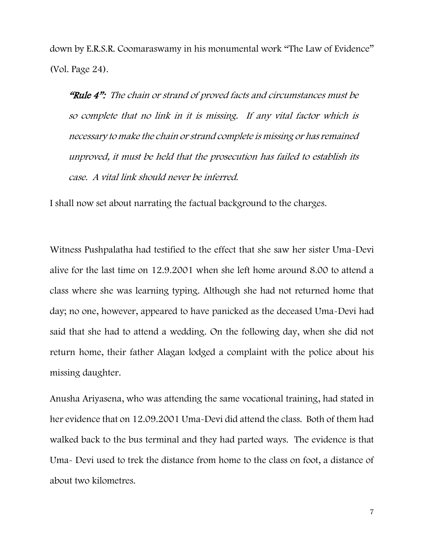down by E.R.S.R. Coomaraswamy in his monumental work "The Law of Evidence" (Vol. Page 24).

"Rule 4": The chain or strand of proved facts and circumstances must be so complete that no link in it is missing. If any vital factor which is necessary to make the chain or strand complete is missing or has remained unproved, it must be held that the prosecution has failed to establish its case. A vital link should never be inferred.

I shall now set about narrating the factual background to the charges.

Witness Pushpalatha had testified to the effect that she saw her sister Uma-Devi alive for the last time on 12.9.2001 when she left home around 8.00 to attend a class where she was learning typing. Although she had not returned home that day; no one, however, appeared to have panicked as the deceased Uma-Devi had said that she had to attend a wedding. On the following day, when she did not return home, their father Alagan lodged a complaint with the police about his missing daughter.

Anusha Ariyasena, who was attending the same vocational training, had stated in her evidence that on 12.09.2001 Uma-Devi did attend the class. Both of them had walked back to the bus terminal and they had parted ways. The evidence is that Uma- Devi used to trek the distance from home to the class on foot, a distance of about two kilometres.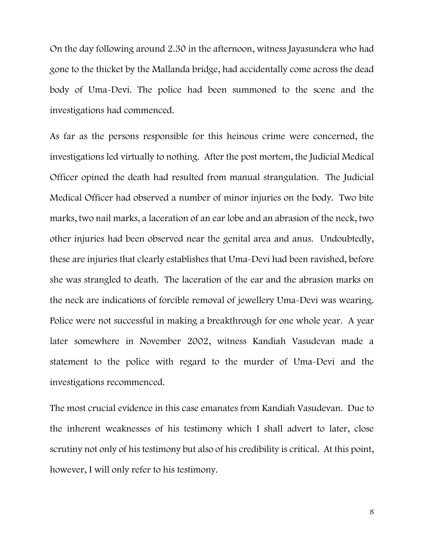On the day following around 2.30 in the afternoon, witness Jayasundera who had gone to the thicket by the Mallanda bridge, had accidentally come across the dead body of Uma-Devi. The police had been summoned to the scene and the investigations had commenced.

As far as the persons responsible for this heinous crime were concerned, the investigations led virtually to nothing. After the post mortem, the Judicial Medical Officer opined the death had resulted from manual strangulation. The Judicial Medical Officer had observed a number of minor injuries on the body. Two bite marks, two nail marks, a laceration of an ear lobe and an abrasion of the neck, two other injuries had been observed near the genital area and anus. Undoubtedly, these are injuries that clearly establishes that Uma-Devi had been ravished, before she was strangled to death. The laceration of the ear and the abrasion marks on the neck are indications of forcible removal of jewellery Uma-Devi was wearing. Police were not successful in making a breakthrough for one whole year. A year later somewhere in November 2002, witness Kandiah Vasudevan made a statement to the police with regard to the murder of Uma-Devi and the investigations recommenced.

The most crucial evidence in this case emanates from Kandiah Vasudevan. Due to the inherent weaknesses of his testimony which I shall advert to later, close scrutiny not only of his testimony but also of his credibility is critical. At this point, however, I will only refer to his testimony.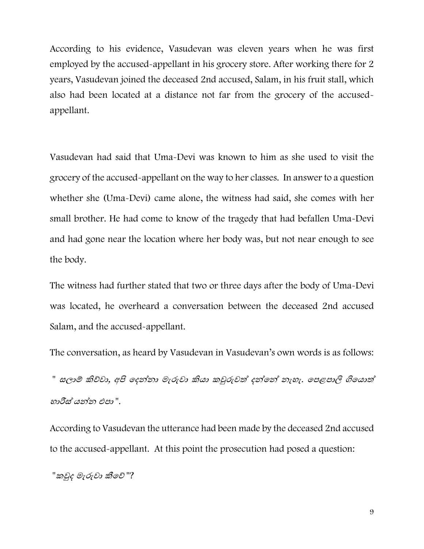According to his evidence, Vasudevan was eleven years when he was first employed by the accused-appellant in his grocery store. After working there for 2 years, Vasudevan joined the deceased 2nd accused, Salam, in his fruit stall, which also had been located at a distance not far from the grocery of the accusedappellant.

Vasudevan had said that Uma-Devi was known to him as she used to visit the grocery of the accused-appellant on the way to her classes. In answer to a question whether she (Uma-Devi) came alone, the witness had said, she comes with her small brother. He had come to know of the tragedy that had befallen Uma-Devi and had gone near the location where her body was, but not near enough to see the body.

The witness had further stated that two or three days after the body of Uma-Devi was located, he overheard a conversation between the deceased 2nd accused Salam, and the accused-appellant.

The conversation, as heard by Vasudevan in Vasudevan's own words is as follows:

" සලාම් කිව්වා, අපි දෙන්නා මැරුවා කියා කවුරුවත් දන්නේ නැහැ. පෙළපාලි ගියොත් හාරීස් යන්න එපා ".

According to Vasudevan the utterance had been made by the deceased 2nd accused to the accused-appellant. At this point the prosecution had posed a question:

"කවුද මැරුවා කීවේ "?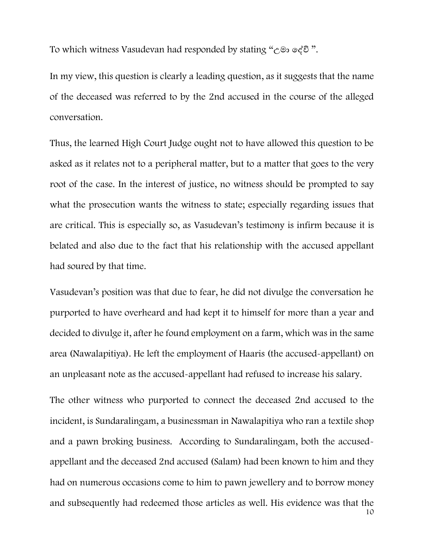To which witness Vasudevan had responded by stating "උමා දේවි ".

In my view, this question is clearly a leading question, as it suggests that the name of the deceased was referred to by the 2nd accused in the course of the alleged conversation.

Thus, the learned High Court Judge ought not to have allowed this question to be asked as it relates not to a peripheral matter, but to a matter that goes to the very root of the case. In the interest of justice, no witness should be prompted to say what the prosecution wants the witness to state; especially regarding issues that are critical. This is especially so, as Vasudevan's testimony is infirm because it is belated and also due to the fact that his relationship with the accused appellant had soured by that time.

Vasudevan's position was that due to fear, he did not divulge the conversation he purported to have overheard and had kept it to himself for more than a year and decided to divulge it, after he found employment on a farm, which was in the same area (Nawalapitiya). He left the employment of Haaris (the accused-appellant) on an unpleasant note as the accused-appellant had refused to increase his salary.

10 The other witness who purported to connect the deceased 2nd accused to the incident, is Sundaralingam, a businessman in Nawalapitiya who ran a textile shop and a pawn broking business. According to Sundaralingam, both the accusedappellant and the deceased 2nd accused (Salam) had been known to him and they had on numerous occasions come to him to pawn jewellery and to borrow money and subsequently had redeemed those articles as well. His evidence was that the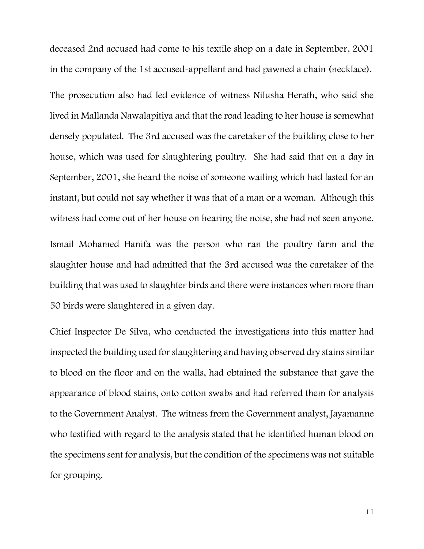deceased 2nd accused had come to his textile shop on a date in September, 2001 in the company of the 1st accused-appellant and had pawned a chain (necklace).

The prosecution also had led evidence of witness Nilusha Herath, who said she lived in Mallanda Nawalapitiya and that the road leading to her house is somewhat densely populated. The 3rd accused was the caretaker of the building close to her house, which was used for slaughtering poultry. She had said that on a day in September, 2001, she heard the noise of someone wailing which had lasted for an instant, but could not say whether it was that of a man or a woman. Although this witness had come out of her house on hearing the noise, she had not seen anyone.

Ismail Mohamed Hanifa was the person who ran the poultry farm and the slaughter house and had admitted that the 3rd accused was the caretaker of the building that was used to slaughter birds and there were instances when more than 50 birds were slaughtered in a given day.

Chief Inspector De Silva, who conducted the investigations into this matter had inspected the building used for slaughtering and having observed dry stains similar to blood on the floor and on the walls, had obtained the substance that gave the appearance of blood stains, onto cotton swabs and had referred them for analysis to the Government Analyst. The witness from the Government analyst, Jayamanne who testified with regard to the analysis stated that he identified human blood on the specimens sent for analysis, but the condition of the specimens was not suitable for grouping.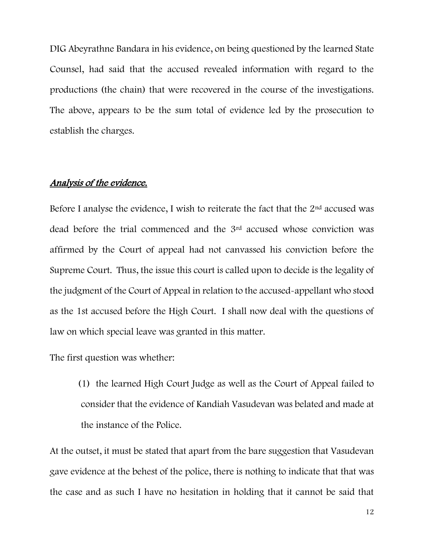DIG Abeyrathne Bandara in his evidence, on being questioned by the learned State Counsel, had said that the accused revealed information with regard to the productions (the chain) that were recovered in the course of the investigations. The above, appears to be the sum total of evidence led by the prosecution to establish the charges.

## Analysis of the evidence.

Before I analyse the evidence, I wish to reiterate the fact that the  $2<sup>nd</sup>$  accused was dead before the trial commenced and the 3rd accused whose conviction was affirmed by the Court of appeal had not canvassed his conviction before the Supreme Court. Thus, the issue this court is called upon to decide is the legality of the judgment of the Court of Appeal in relation to the accused-appellant who stood as the 1st accused before the High Court. I shall now deal with the questions of law on which special leave was granted in this matter.

The first question was whether:

(1) the learned High Court Judge as well as the Court of Appeal failed to consider that the evidence of Kandiah Vasudevan was belated and made at the instance of the Police.

At the outset, it must be stated that apart from the bare suggestion that Vasudevan gave evidence at the behest of the police, there is nothing to indicate that that was the case and as such I have no hesitation in holding that it cannot be said that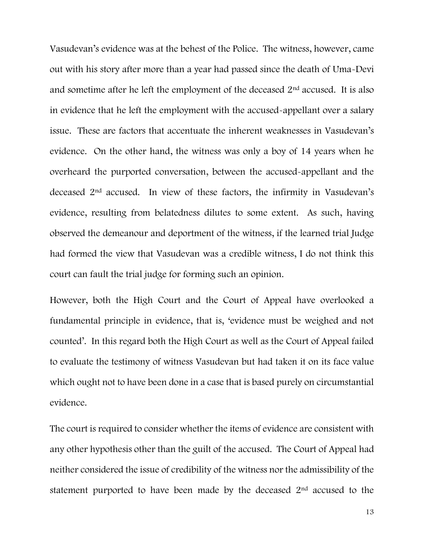Vasudevan's evidence was at the behest of the Police. The witness, however, came out with his story after more than a year had passed since the death of Uma-Devi and sometime after he left the employment of the deceased 2nd accused. It is also in evidence that he left the employment with the accused-appellant over a salary issue. These are factors that accentuate the inherent weaknesses in Vasudevan's evidence. On the other hand, the witness was only a boy of 14 years when he overheard the purported conversation, between the accused-appellant and the deceased 2nd accused. In view of these factors, the infirmity in Vasudevan's evidence, resulting from belatedness dilutes to some extent. As such, having observed the demeanour and deportment of the witness, if the learned trial Judge had formed the view that Vasudevan was a credible witness, I do not think this court can fault the trial judge for forming such an opinion.

However, both the High Court and the Court of Appeal have overlooked a fundamental principle in evidence, that is, 'evidence must be weighed and not counted'. In this regard both the High Court as well as the Court of Appeal failed to evaluate the testimony of witness Vasudevan but had taken it on its face value which ought not to have been done in a case that is based purely on circumstantial evidence.

The court is required to consider whether the items of evidence are consistent with any other hypothesis other than the guilt of the accused. The Court of Appeal had neither considered the issue of credibility of the witness nor the admissibility of the statement purported to have been made by the deceased 2nd accused to the

13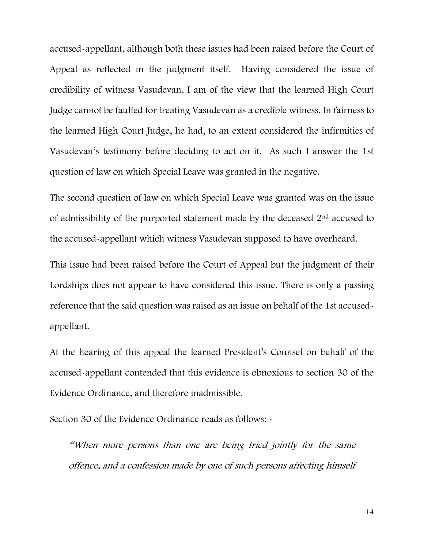accused-appellant, although both these issues had been raised before the Court of Appeal as reflected in the judgment itself. Having considered the issue of credibility of witness Vasudevan, I am of the view that the learned High Court Judge cannot be faulted for treating Vasudevan as a credible witness. In fairness to the learned High Court Judge, he had, to an extent considered the infirmities of Vasudevan's testimony before deciding to act on it. As such I answer the 1st question of law on which Special Leave was granted in the negative.

The second question of law on which Special Leave was granted was on the issue of admissibility of the purported statement made by the deceased 2nd accused to the accused-appellant which witness Vasudevan supposed to have overheard.

This issue had been raised before the Court of Appeal but the judgment of their Lordships does not appear to have considered this issue. There is only a passing reference that the said question was raised as an issue on behalf of the 1st accusedappellant.

At the hearing of this appeal the learned President's Counsel on behalf of the accused-appellant contended that this evidence is obnoxious to section 30 of the Evidence Ordinance, and therefore inadmissible.

Section 30 of the Evidence Ordinance reads as follows:  $\sim$ 

"When more persons than one are being tried jointly for the same offence, and a confession made by one of such persons affecting himself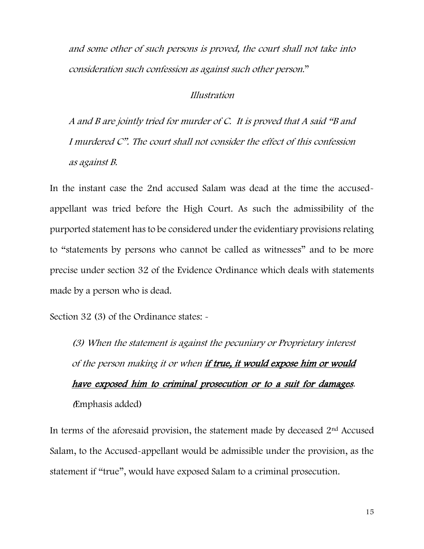and some other of such persons is proved, the court shall not take into consideration such confession as against such other person."

#### Illustration

A and B are jointly tried for murder of C. It is proved that A said "B and I murdered C". The court shall not consider the effect of this confession as against B.

In the instant case the 2nd accused Salam was dead at the time the accusedappellant was tried before the High Court. As such the admissibility of the purported statement has to be considered under the evidentiary provisions relating to "statements by persons who cannot be called as witnesses" and to be more precise under section 32 of the Evidence Ordinance which deals with statements made by a person who is dead.

Section 32 (3) of the Ordinance states:  $\sim$ 

(3) When the statement is against the pecuniary or Proprietary interest of the person making it or when if true, it would expose him or would have exposed him to criminal prosecution or to a suit for damages. (Emphasis added)

In terms of the aforesaid provision, the statement made by deceased  $2<sup>nd</sup>$  Accused Salam, to the Accused-appellant would be admissible under the provision, as the statement if "true", would have exposed Salam to a criminal prosecution.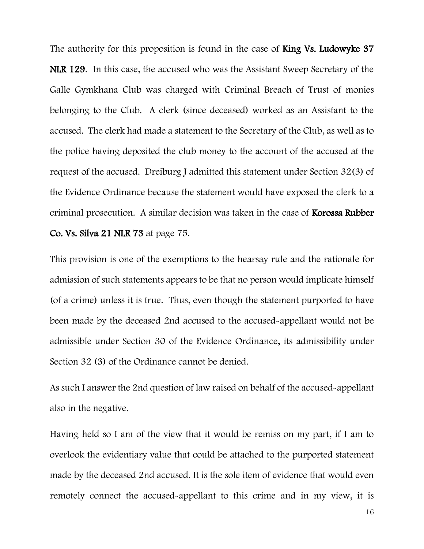The authority for this proposition is found in the case of **King Vs. Ludowyke 37** NLR 129. In this case, the accused who was the Assistant Sweep Secretary of the Galle Gymkhana Club was charged with Criminal Breach of Trust of monies belonging to the Club. A clerk (since deceased) worked as an Assistant to the accused. The clerk had made a statement to the Secretary of the Club, as well as to the police having deposited the club money to the account of the accused at the request of the accused. Dreiburg J admitted this statement under Section 32(3) of the Evidence Ordinance because the statement would have exposed the clerk to a criminal prosecution. A similar decision was taken in the case of Korossa Rubber Co. Vs. Silva 21 NLR 73 at page 75.

This provision is one of the exemptions to the hearsay rule and the rationale for admission of such statements appears to be that no person would implicate himself (of a crime) unless it is true. Thus, even though the statement purported to have been made by the deceased 2nd accused to the accused-appellant would not be admissible under Section 30 of the Evidence Ordinance, its admissibility under Section 32 (3) of the Ordinance cannot be denied.

As such I answer the 2nd question of law raised on behalf of the accused-appellant also in the negative.

Having held so I am of the view that it would be remiss on my part, if I am to overlook the evidentiary value that could be attached to the purported statement made by the deceased 2nd accused. It is the sole item of evidence that would even remotely connect the accused-appellant to this crime and in my view, it is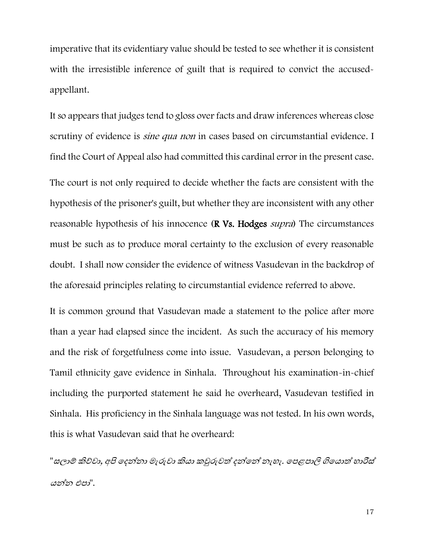imperative that its evidentiary value should be tested to see whether it is consistent with the irresistible inference of guilt that is required to convict the accusedappellant.

It so appears that judges tend to gloss over facts and draw inferences whereas close scrutiny of evidence is *sine qua non* in cases based on circumstantial evidence. I find the Court of Appeal also had committed this cardinal error in the present case. The court is not only required to decide whether the facts are consistent with the hypothesis of the prisoner's guilt, but whether they are inconsistent with any other reasonable hypothesis of his innocence (**R Vs. Hodges** *supra*) The circumstances must be such as to produce moral certainty to the exclusion of every reasonable doubt. I shall now consider the evidence of witness Vasudevan in the backdrop of the aforesaid principles relating to circumstantial evidence referred to above.

It is common ground that Vasudevan made a statement to the police after more than a year had elapsed since the incident. As such the accuracy of his memory and the risk of forgetfulness come into issue. Vasudevan, a person belonging to Tamil ethnicity gave evidence in Sinhala. Throughout his examination-in-chief including the purported statement he said he overheard, Vasudevan testified in Sinhala. His proficiency in the Sinhala language was not tested. In his own words, this is what Vasudevan said that he overheard:

"සලාම් කිව්වා, අපි ඉදන්නා මැරුවා කියා කවුරුවත් දන්නේ නැහැ. පෙළපාලි ගියොත් හාරීස් යන්න එපා".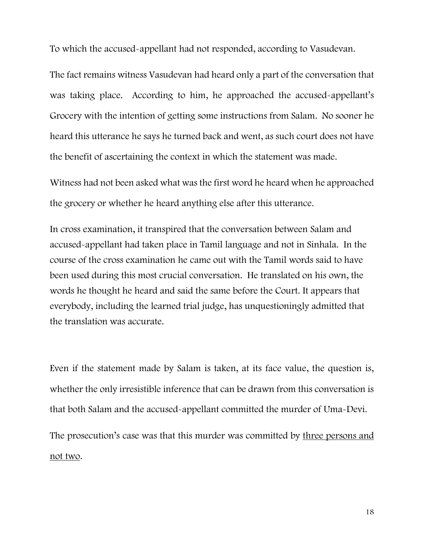To which the accused-appellant had not responded, according to Vasudevan.

The fact remains witness Vasudevan had heard only a part of the conversation that was taking place. According to him, he approached the accused-appellant's Grocery with the intention of getting some instructions from Salam. No sooner he heard this utterance he says he turned back and went, as such court does not have the benefit of ascertaining the context in which the statement was made.

Witness had not been asked what was the first word he heard when he approached the grocery or whether he heard anything else after this utterance.

In cross examination, it transpired that the conversation between Salam and accused-appellant had taken place in Tamil language and not in Sinhala. In the course of the cross examination he came out with the Tamil words said to have been used during this most crucial conversation. He translated on his own, the words he thought he heard and said the same before the Court. It appears that everybody, including the learned trial judge, has unquestioningly admitted that the translation was accurate.

Even if the statement made by Salam is taken, at its face value, the question is, whether the only irresistible inference that can be drawn from this conversation is that both Salam and the accused-appellant committed the murder of Uma-Devi. The prosecution's case was that this murder was committed by three persons and not two.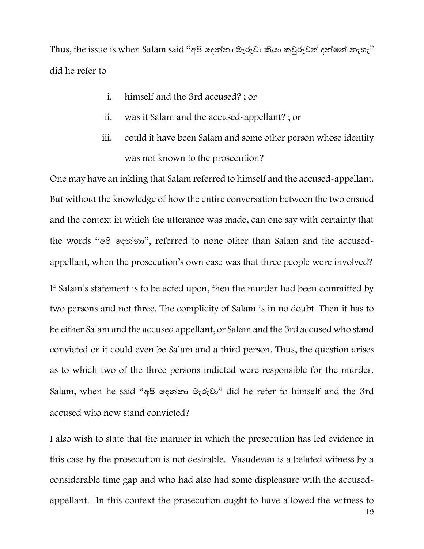Thus, the issue is when Salam said "අපි දෙන්නා මැරුවා කියා කවුරුවත් දන්නේ නැහැ" did he refer to

- i. himself and the 3rd accused? ; or
- ii. was it Salam and the accused-appellant? ; or
- iii. could it have been Salam and some other person whose identity was not known to the prosecution?

One may have an inkling that Salam referred to himself and the accused-appellant. But without the knowledge of how the entire conversation between the two ensued and the context in which the utterance was made, can one say with certainty that the words "අපි දෙන්නා" , referred to none other than Salam and the accusedappellant, when the prosecution's own case was that three people were involved?

If Salam's statement is to be acted upon, then the murder had been committed by two persons and not three. The complicity of Salam is in no doubt. Then it has to be either Salam and the accused appellant, or Salam and the 3rd accused who stand convicted or it could even be Salam and a third person. Thus, the question arises as to which two of the three persons indicted were responsible for the murder. Salam, when he said "අපි දෙන්නා මැරුවා" did he refer to himself and the 3rd accused who now stand convicted?

I also wish to state that the manner in which the prosecution has led evidence in this case by the prosecution is not desirable. Vasudevan is a belated witness by a considerable time gap and who had also had some displeasure with the accusedappellant. In this context the prosecution ought to have allowed the witness to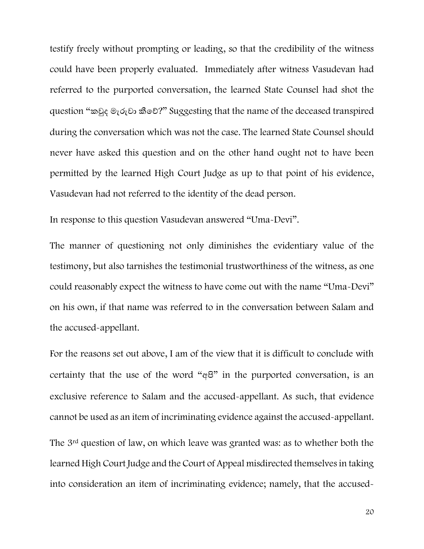testify freely without prompting or leading, so that the credibility of the witness could have been properly evaluated. Immediately after witness Vasudevan had referred to the purported conversation, the learned State Counsel had shot the question "කවුෙ මැරුවා කීදව්?" Suggesting that the name of the deceased transpired during the conversation which was not the case. The learned State Counsel should never have asked this question and on the other hand ought not to have been permitted by the learned High Court Judge as up to that point of his evidence, Vasudevan had not referred to the identity of the dead person.

In response to this question Vasudevan answered "Uma-Devi".

The manner of questioning not only diminishes the evidentiary value of the testimony, but also tarnishes the testimonial trustworthiness of the witness, as one could reasonably expect the witness to have come out with the name "Uma-Devi" on his own, if that name was referred to in the conversation between Salam and the accused-appellant.

For the reasons set out above, I am of the view that it is difficult to conclude with certainty that the use of the word "අපි" in the purported conversation, is an exclusive reference to Salam and the accused-appellant. As such, that evidence cannot be used as an item of incriminating evidence against the accused-appellant. The 3rd question of law, on which leave was granted was: as to whether both the learned High Court Judge and the Court of Appeal misdirected themselves in taking into consideration an item of incriminating evidence; namely, that the accused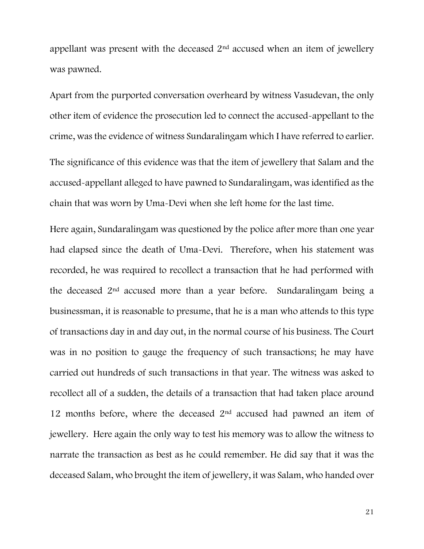appellant was present with the deceased 2nd accused when an item of jewellery was pawned.

Apart from the purported conversation overheard by witness Vasudevan, the only other item of evidence the prosecution led to connect the accused-appellant to the crime, was the evidence of witness Sundaralingam which I have referred to earlier. The significance of this evidence was that the item of jewellery that Salam and the

accused-appellant alleged to have pawned to Sundaralingam, was identified as the chain that was worn by Uma-Devi when she left home for the last time.

Here again, Sundaralingam was questioned by the police after more than one year had elapsed since the death of Uma-Devi. Therefore, when his statement was recorded, he was required to recollect a transaction that he had performed with the deceased 2nd accused more than a year before. Sundaralingam being a businessman, it is reasonable to presume, that he is a man who attends to this type of transactions day in and day out, in the normal course of his business. The Court was in no position to gauge the frequency of such transactions; he may have carried out hundreds of such transactions in that year. The witness was asked to recollect all of a sudden, the details of a transaction that had taken place around 12 months before, where the deceased  $2<sup>nd</sup>$  accused had pawned an item of jewellery. Here again the only way to test his memory was to allow the witness to narrate the transaction as best as he could remember. He did say that it was the deceased Salam, who brought the item of jewellery, it was Salam, who handed over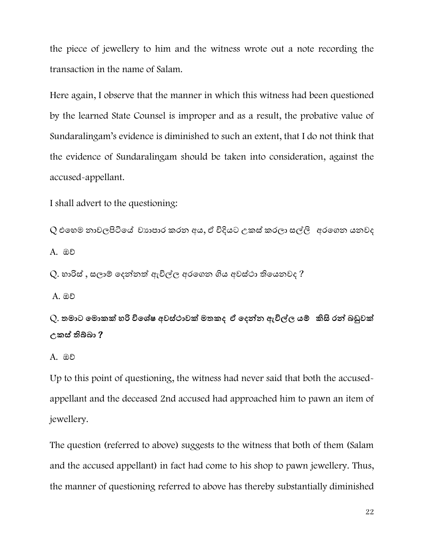the piece of jewellery to him and the witness wrote out a note recording the transaction in the name of Salam.

Here again, I observe that the manner in which this witness had been questioned by the learned State Counsel is improper and as a result, the probative value of Sundaralingam's evidence is diminished to such an extent, that I do not think that the evidence of Sundaralingam should be taken into consideration, against the accused-appellant.

I shall advert to the questioning:

Q එහෙම නාවලපිටියේ වාහපාර කරන අය, ඒ විදියට උකස් කරලා සල්ලි අරගෙන යනවද A. ඔව්

 $Q$ . හාරිස් , සලාම් දෙන්නත් ඇවිල්ල අරගෙන ගිය අවස්ථා තියෙනවද ?

A. ඔව්

Q. **තමාට මමාකක් හරි විම ේෂ අවසේථාවක් මතකද ඒ මදන්න ඇවිල්ල යම් කිසි රන් බඩුවක් උකසේ තිබ්බා** ?

A. ඔව්

Up to this point of questioning, the witness had never said that both the accusedappellant and the deceased 2nd accused had approached him to pawn an item of jewellery.

The question (referred to above) suggests to the witness that both of them (Salam and the accused appellant) in fact had come to his shop to pawn jewellery. Thus, the manner of questioning referred to above has thereby substantially diminished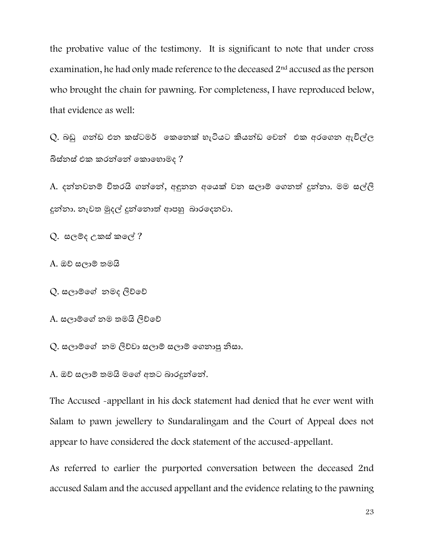the probative value of the testimony. It is significant to note that under cross examination, he had only made reference to the deceased 2nd accused as the person who brought the chain for pawning. For completeness, I have reproduced below, that evidence as well:

 $Q$ . බඩු ගන්ඩ එන කස්ටමර් කෙනෙක් හැටියට කියන්ඩ චෙන් එක අරගෙන ඇවිල්ල බිස්නස් එක කරන්නේ කොහොමද ?

A. දන්නවනම් විතරයි ගන්නේ, අඳුනන අයෙක් වන සලාම් ගෙනත් දුන්නා. මම සල්ලි දුන්නා. නැවත මුදල් දුන්නොත් ආපහු බාරදෙනවා.

 $Q$ . සලම්ද උකස් කලේ ?

A. ඔව් සලාම් තමයි

Q. සලාම්ගේ නමද ලිව්වේ

A. සලාම්දේ නම තමයි ලිව්දව්

Q. සලාම්ගේ නම ලිව්වා සලාම් සලාම් ගෙනාපු නිසා.

A. ඔව් සලාම් තමයි මදේ අතට බාරදුන්දන්.

The Accused -appellant in his dock statement had denied that he ever went with Salam to pawn jewellery to Sundaralingam and the Court of Appeal does not appear to have considered the dock statement of the accused-appellant.

As referred to earlier the purported conversation between the deceased 2nd accused Salam and the accused appellant and the evidence relating to the pawning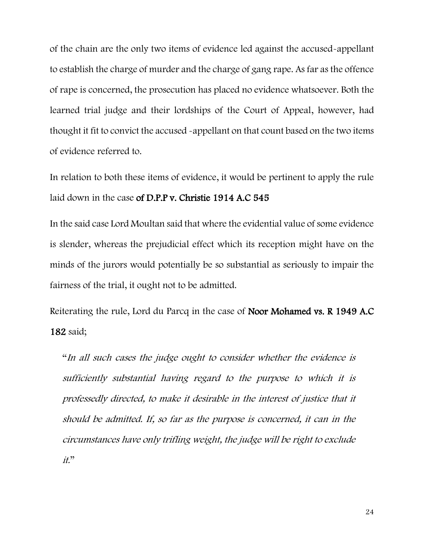of the chain are the only two items of evidence led against the accused-appellant to establish the charge of murder and the charge of gang rape. As far as the offence of rape is concerned, the prosecution has placed no evidence whatsoever. Both the learned trial judge and their lordships of the Court of Appeal, however, had thought it fit to convict the accused -appellant on that count based on the two items of evidence referred to.

In relation to both these items of evidence, it would be pertinent to apply the rule laid down in the case of D.P.P v. Christie 1914 A.C 545

In the said case Lord Moultan said that where the evidential value of some evidence is slender, whereas the prejudicial effect which its reception might have on the minds of the jurors would potentially be so substantial as seriously to impair the fairness of the trial, it ought not to be admitted.

Reiterating the rule, Lord du Parcq in the case of Noor Mohamed vs. R 1949 A.C 182 said;

"In all such cases the judge ought to consider whether the evidence is sufficiently substantial having regard to the purpose to which it is professedly directed, to make it desirable in the interest of justice that it should be admitted. If, so far as the purpose is concerned, it can in the circumstances have only trifling weight, the judge will be right to exclude it."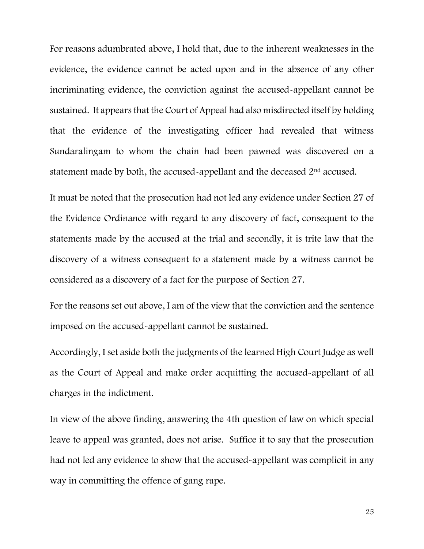For reasons adumbrated above, I hold that, due to the inherent weaknesses in the evidence, the evidence cannot be acted upon and in the absence of any other incriminating evidence, the conviction against the accused-appellant cannot be sustained. It appears that the Court of Appeal had also misdirected itself by holding that the evidence of the investigating officer had revealed that witness Sundaralingam to whom the chain had been pawned was discovered on a statement made by both, the accused-appellant and the deceased 2nd accused.

It must be noted that the prosecution had not led any evidence under Section 27 of the Evidence Ordinance with regard to any discovery of fact, consequent to the statements made by the accused at the trial and secondly, it is trite law that the discovery of a witness consequent to a statement made by a witness cannot be considered as a discovery of a fact for the purpose of Section 27.

For the reasons set out above, I am of the view that the conviction and the sentence imposed on the accused-appellant cannot be sustained.

Accordingly, I set aside both the judgments of the learned High Court Judge as well as the Court of Appeal and make order acquitting the accused-appellant of all charges in the indictment.

In view of the above finding, answering the 4th question of law on which special leave to appeal was granted, does not arise. Suffice it to say that the prosecution had not led any evidence to show that the accused-appellant was complicit in any way in committing the offence of gang rape.